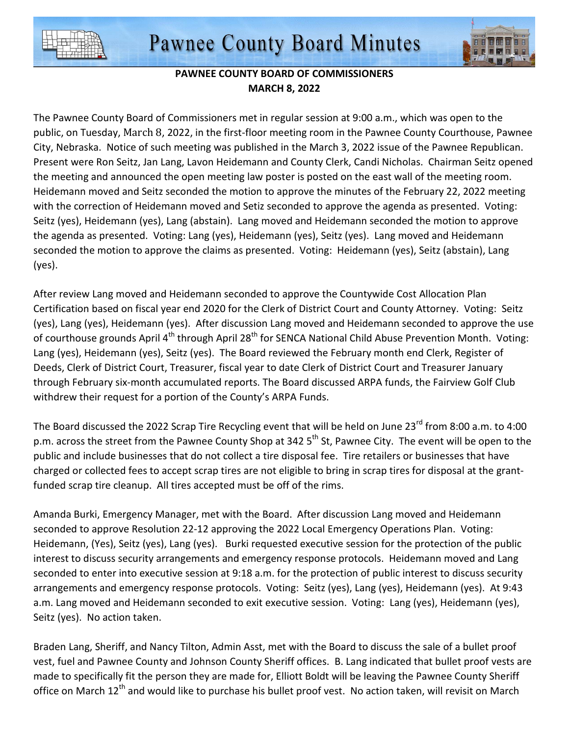



## **PAWNEE COUNTY BOARD OF COMMISSIONERS MARCH 8, 2022**

The Pawnee County Board of Commissioners met in regular session at 9:00 a.m., which was open to the public, on Tuesday, March 8, 2022, in the first-floor meeting room in the Pawnee County Courthouse, Pawnee City, Nebraska. Notice of such meeting was published in the March 3, 2022 issue of the Pawnee Republican. Present were Ron Seitz, Jan Lang, Lavon Heidemann and County Clerk, Candi Nicholas. Chairman Seitz opened the meeting and announced the open meeting law poster is posted on the east wall of the meeting room. Heidemann moved and Seitz seconded the motion to approve the minutes of the February 22, 2022 meeting with the correction of Heidemann moved and Setiz seconded to approve the agenda as presented. Voting: Seitz (yes), Heidemann (yes), Lang (abstain). Lang moved and Heidemann seconded the motion to approve the agenda as presented. Voting: Lang (yes), Heidemann (yes), Seitz (yes). Lang moved and Heidemann seconded the motion to approve the claims as presented. Voting: Heidemann (yes), Seitz (abstain), Lang (yes).

After review Lang moved and Heidemann seconded to approve the Countywide Cost Allocation Plan Certification based on fiscal year end 2020 for the Clerk of District Court and County Attorney. Voting: Seitz (yes), Lang (yes), Heidemann (yes). After discussion Lang moved and Heidemann seconded to approve the use of courthouse grounds April 4<sup>th</sup> through April 28<sup>th</sup> for SENCA National Child Abuse Prevention Month. Voting: Lang (yes), Heidemann (yes), Seitz (yes). The Board reviewed the February month end Clerk, Register of Deeds, Clerk of District Court, Treasurer, fiscal year to date Clerk of District Court and Treasurer January through February six-month accumulated reports. The Board discussed ARPA funds, the Fairview Golf Club withdrew their request for a portion of the County's ARPA Funds.

The Board discussed the 2022 Scrap Tire Recycling event that will be held on June 23<sup>rd</sup> from 8:00 a.m. to 4:00 p.m. across the street from the Pawnee County Shop at 342 5<sup>th</sup> St, Pawnee City. The event will be open to the public and include businesses that do not collect a tire disposal fee. Tire retailers or businesses that have charged or collected fees to accept scrap tires are not eligible to bring in scrap tires for disposal at the grantfunded scrap tire cleanup. All tires accepted must be off of the rims.

Amanda Burki, Emergency Manager, met with the Board. After discussion Lang moved and Heidemann seconded to approve Resolution 22-12 approving the 2022 Local Emergency Operations Plan. Voting: Heidemann, (Yes), Seitz (yes), Lang (yes). Burki requested executive session for the protection of the public interest to discuss security arrangements and emergency response protocols. Heidemann moved and Lang seconded to enter into executive session at 9:18 a.m. for the protection of public interest to discuss security arrangements and emergency response protocols. Voting: Seitz (yes), Lang (yes), Heidemann (yes). At 9:43 a.m. Lang moved and Heidemann seconded to exit executive session. Voting: Lang (yes), Heidemann (yes), Seitz (yes). No action taken.

Braden Lang, Sheriff, and Nancy Tilton, Admin Asst, met with the Board to discuss the sale of a bullet proof vest, fuel and Pawnee County and Johnson County Sheriff offices. B. Lang indicated that bullet proof vests are made to specifically fit the person they are made for, Elliott Boldt will be leaving the Pawnee County Sheriff office on March 12<sup>th</sup> and would like to purchase his bullet proof vest. No action taken, will revisit on March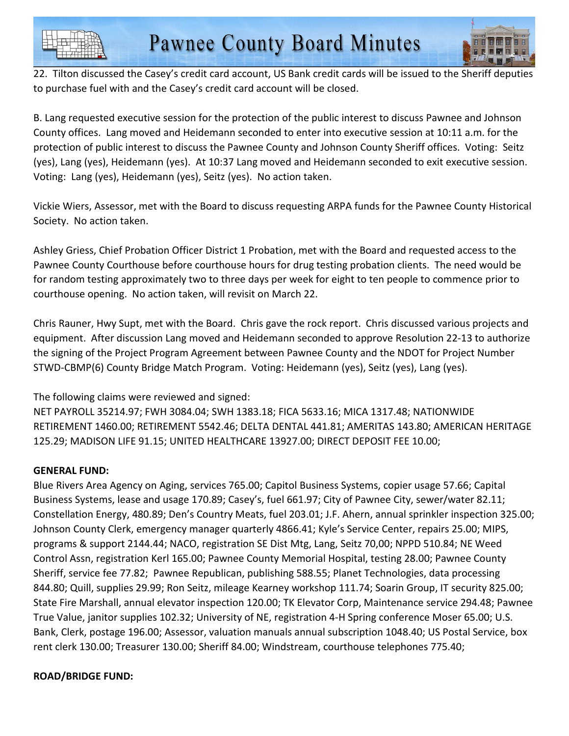



22. Tilton discussed the Casey's credit card account, US Bank credit cards will be issued to the Sheriff deputies to purchase fuel with and the Casey's credit card account will be closed.

B. Lang requested executive session for the protection of the public interest to discuss Pawnee and Johnson County offices. Lang moved and Heidemann seconded to enter into executive session at 10:11 a.m. for the protection of public interest to discuss the Pawnee County and Johnson County Sheriff offices. Voting: Seitz (yes), Lang (yes), Heidemann (yes). At 10:37 Lang moved and Heidemann seconded to exit executive session. Voting: Lang (yes), Heidemann (yes), Seitz (yes). No action taken.

Vickie Wiers, Assessor, met with the Board to discuss requesting ARPA funds for the Pawnee County Historical Society. No action taken.

Ashley Griess, Chief Probation Officer District 1 Probation, met with the Board and requested access to the Pawnee County Courthouse before courthouse hours for drug testing probation clients. The need would be for random testing approximately two to three days per week for eight to ten people to commence prior to courthouse opening. No action taken, will revisit on March 22.

Chris Rauner, Hwy Supt, met with the Board. Chris gave the rock report. Chris discussed various projects and equipment. After discussion Lang moved and Heidemann seconded to approve Resolution 22-13 to authorize the signing of the Project Program Agreement between Pawnee County and the NDOT for Project Number STWD-CBMP(6) County Bridge Match Program. Voting: Heidemann (yes), Seitz (yes), Lang (yes).

The following claims were reviewed and signed:

NET PAYROLL 35214.97; FWH 3084.04; SWH 1383.18; FICA 5633.16; MICA 1317.48; NATIONWIDE RETIREMENT 1460.00; RETIREMENT 5542.46; DELTA DENTAL 441.81; AMERITAS 143.80; AMERICAN HERITAGE 125.29; MADISON LIFE 91.15; UNITED HEALTHCARE 13927.00; DIRECT DEPOSIT FEE 10.00;

## **GENERAL FUND:**

Blue Rivers Area Agency on Aging, services 765.00; Capitol Business Systems, copier usage 57.66; Capital Business Systems, lease and usage 170.89; Casey's, fuel 661.97; City of Pawnee City, sewer/water 82.11; Constellation Energy, 480.89; Den's Country Meats, fuel 203.01; J.F. Ahern, annual sprinkler inspection 325.00; Johnson County Clerk, emergency manager quarterly 4866.41; Kyle's Service Center, repairs 25.00; MIPS, programs & support 2144.44; NACO, registration SE Dist Mtg, Lang, Seitz 70,00; NPPD 510.84; NE Weed Control Assn, registration Kerl 165.00; Pawnee County Memorial Hospital, testing 28.00; Pawnee County Sheriff, service fee 77.82; Pawnee Republican, publishing 588.55; Planet Technologies, data processing 844.80; Quill, supplies 29.99; Ron Seitz, mileage Kearney workshop 111.74; Soarin Group, IT security 825.00; State Fire Marshall, annual elevator inspection 120.00; TK Elevator Corp, Maintenance service 294.48; Pawnee True Value, janitor supplies 102.32; University of NE, registration 4-H Spring conference Moser 65.00; U.S. Bank, Clerk, postage 196.00; Assessor, valuation manuals annual subscription 1048.40; US Postal Service, box rent clerk 130.00; Treasurer 130.00; Sheriff 84.00; Windstream, courthouse telephones 775.40;

## **ROAD/BRIDGE FUND:**